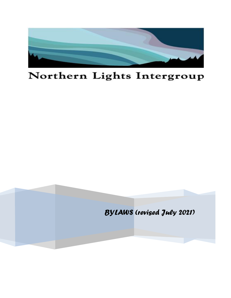

# Northern Lights Intergroup

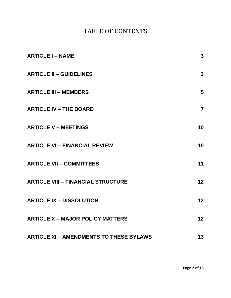# TABLE OF CONTENTS

| <b>ARTICLE I - NAME</b>                        | $\mathbf{3}$   |
|------------------------------------------------|----------------|
| <b>ARTICLE II - GUIDELINES</b>                 | $\mathbf{3}$   |
| <b>ARTICLE III - MEMBERS</b>                   | 5              |
| <b>ARTICLE IV - THE BOARD</b>                  | $\overline{7}$ |
| <b>ARTICLE V - MEETINGS</b>                    | 10             |
| <b>ARTICLE VI - FINANCIAL REVIEW</b>           | 10             |
| <b>ARTICLE VII - COMMITTEES</b>                | 11             |
| <b>ARTICLE VIII - FINANCIAL STRUCTURE</b>      | 12             |
| <b>ARTICLE IX - DISSOLUTION</b>                | 12             |
| <b>ARTICLE X - MAJOR POLICY MATTERS</b>        | 12             |
| <b>ARTICLE XI - AMENDMENTS TO THESE BYLAWS</b> | 13             |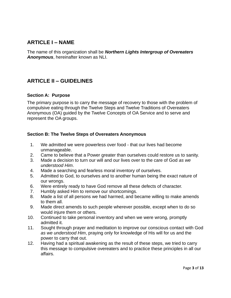# **ARTICLE I – NAME**

The name of this organization shall be *Northern Lights Intergroup of Overeaters Anonymous*, hereinafter known as NLI.

# **ARTICLE II – GUIDELINES**

## **Section A: Purpose**

The primary purpose is to carry the message of recovery to those with the problem of compulsive eating through the Twelve Steps and Twelve Traditions of Overeaters Anonymous (OA) guided by the Twelve Concepts of OA Service and to serve and represent the OA groups.

## **Section B: The Twelve Steps of Overeaters Anonymous**

- 1. We admitted we were powerless over food that our lives had become unmanageable.
- 2. Came to believe that a Power greater than ourselves could restore us to sanity.
- 3. Made a decision to turn our will and our lives over to the care of God *as we understood Him*.
- 4. Made a searching and fearless moral inventory of ourselves.
- 5. Admitted to God, to ourselves and to another human being the exact nature of our wrongs.
- 6. Were entirely ready to have God remove all these defects of character.
- 7. Humbly asked Him to remove our shortcomings.
- 8. Made a list of all persons we had harmed, and became willing to make amends to them all.
- 9. Made direct amends to such people wherever possible, except when to do so would injure them or others.
- 10. Continued to take personal inventory and when we were wrong, promptly admitted it.
- 11. Sought through prayer and meditation to improve our conscious contact with God *as we understood Him*, praying only for knowledge of His will for us and the power to carry that out.
- 12. Having had a spiritual awakening as the result of these steps, we tried to carry this message to compulsive overeaters and to practice these principles in all our affairs.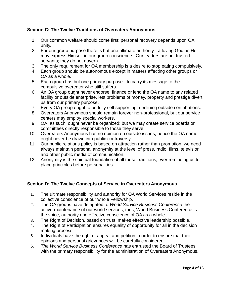## **Section C: The Twelve Traditions of Overeaters Anonymous**

- 1. Our common welfare should come first; personal recovery depends upon OA unity.
- 2. For our group purpose there is but one ultimate authority a loving God as He may express Himself in our group conscience. Our leaders are but trusted servants; they do not govern.
- 3. The only requirement for OA membership is a desire to stop eating compulsively.
- 4. Each group should be autonomous except in matters affecting other groups or OA as a whole.
- 5. Each group has but one primary purpose to carry its message to the compulsive overeater who still suffers.
- 6. An OA group ought never endorse, finance or lend the OA name to any related facility or outside enterprise, lest problems of money, property and prestige divert us from our primary purpose.
- 7. Every OA group ought to be fully self supporting, declining outside contributions.
- 8. Overeaters Anonymous should remain forever non-professional, but our service centers may employ special workers.
- 9. OA, as such, ought never be organized; but we may create service boards or committees directly responsible to those they serve.
- 10. Overeaters Anonymous has no opinion on outside issues; hence the OA name ought never be drawn into public controversy.
- 11. Our public relations policy is based on attraction rather than promotion; we need always maintain personal anonymity at the level of press, radio, films, television and other public media of communication.
- 12. Anonymity is the spiritual foundation of all these traditions, ever reminding us to place principles before personalities.

# **Section D: The Twelve Concepts of Service in Overeaters Anonymous**

- 1. The ultimate responsibility and authority for OA World Services reside in the collective conscience of our whole Fellowship.
- 2. The OA groups have delegated to *World Service Business Conference* the active-maintenance of our world services; thus, World Business Conference is the voice, authority and effective conscience of OA as a whole.
- 3. The Right of Decision, based on trust, makes effective leadership possible.
- 4. The Right of Participation ensures equality of opportunity for all in the decision making process.
- 5. Individuals have the right of appeal and petition in order to ensure that their opinions and personal grievances will be carefully considered.
- 6. *The World Service Business Conference* has entrusted the Board of Trustees with the primary responsibility for the administration of Overeaters Anonymous.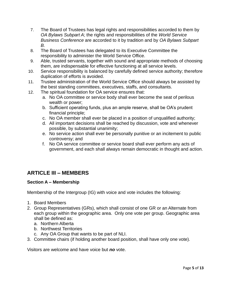- 7. The Board of Trustees has legal rights and responsibilities accorded to them by *OA Bylaws Subpart A*; the rights and responsibilities of the *World Service Business Conference* are accorded to it by tradition and by *OA Bylaws Subpart B.*
- 8. The Board of Trustees has delegated to its Executive Committee the responsibility to administer the World Service Office.
- 9. Able, trusted servants, together with sound and appropriate methods of choosing them, are indispensable for effective functioning at all service levels.
- 10. Service responsibility is balanced by carefully defined service authority; therefore duplication of efforts is avoided.
- 11. Trustee administration of the World Service Office should always be assisted by the best standing committees, executives, staffs, and consultants.
- 12. The spiritual foundation for OA service ensures that:
	- a. No OA committee or service body shall ever become the seat of perilous wealth or power;
	- b. Sufficient operating funds, plus an ample reserve, shall be OA's prudent financial principle;
	- c. No OA member shall ever be placed in a position of unqualified authority;
	- d. All important decisions shall be reached by discussion, vote and whenever possible, by substantial unanimity;
	- e. No service action shall ever be personally punitive or an incitement to public controversy; and
	- f. No OA service committee or service board shall ever perform any acts of government, and each shall always remain democratic in thought and action.

# **ARTICLE III – MEMBERS**

# **Section A – Membership**

Membership of the Intergroup (IG) with voice and vote includes the following:

- 1. Board Members
- 2. Group Representatives (GRs), which shall consist of one GR or an Alternate from each group within the geographic area. Only one vote per group. Geographic area shall be defined as:
	- a. Northern Alberta
	- b. Northwest Territories
	- c. Any OA Group that wants to be part of NLI.
- 3. Committee chairs (if holding another board position, shall have only one vote).

Visitors are welcome and have voice but *no* vote.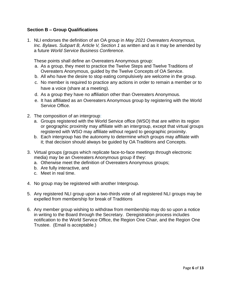## **Section B – Group Qualifications**

1. NLI endorses the definition of an OA group in *May 2021 Overeaters Anonymous, Inc. Bylaws. Subpart B, Article V, Section 1* as written and as it may be amended by a future *World Service Business Conference*.

These points shall define an Overeaters Anonymous group:

- a. As a group, they meet to practice the Twelve Steps and Twelve Traditions of Overeaters Anonymous, guided by the Twelve Concepts of OA Service.
- b. All who have the desire to stop eating compulsively are welcome in the group.
- c. No member is required to practice any actions in order to remain a member or to have a voice (share at a meeting).
- d. As a group they have no affiliation other than Overeaters Anonymous.
- e. It has affiliated as an Overeaters Anonymous group by registering with the World Service Office.
- 2. The composition of an intergroup:
	- a. Groups registered with the World Service office (WSO) that are within its region or geographic proximity may affiliate with an intergroup, except that virtual groups registered with WSO may affiliate without regard to geographic proximity.
	- b. Each intergroup has the autonomy to determine which groups may affiliate with it; that decision should always be guided by OA Traditions and Concepts.
- 3. Virtual groups (groups which replicate face-to-face meetings through electronic media) may be an Overeaters Anonymous group if they:
	- a. Otherwise meet the definition of Overeaters Anonymous groups;
	- b. Are fully interactive, and
	- c. Meet in real time.
- 4. No group may be registered with another Intergroup.
- 5. Any registered NLI group upon a two-thirds vote of all registered NLI groups may be expelled from membership for break of Traditions
- 6. Any member group wishing to withdraw from membership may do so upon a notice in writing to the Board through the Secretary. Deregistration process includes notification to the World Service Office, the Region One Chair, and the Region One Trustee. (Email is acceptable.)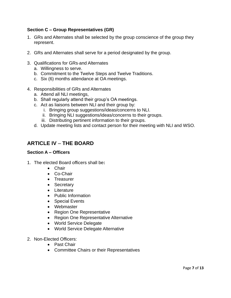## **Section C – Group Representatives (GR)**

- 1. GRs and Alternates shall be selected by the group conscience of the group they represent.
- 2. GRs and Alternates shall serve for a period designated by the group.
- 3. Qualifications for GRs-and Alternates
	- a. Willingness to serve.
	- b. Commitment to the Twelve Steps and Twelve Traditions.
	- c. Six (6) months attendance at OA meetings.
- 4. Responsibilities of GRs and Alternates
	- a. Attend all NLI meetings,
	- b. Shall regularly attend their group's OA meetings.
	- c. Act as liaisons between NLI and their group by:
		- i. Bringing group suggestions/ideas/concerns to NLI.
		- ii. Bringing NLI suggestions/ideas/concerns to their groups.
		- iii. Distributing pertinent information to their groups.
	- d. Update meeting lists and contact person for their meeting with NLI and WSO.

# **ARTICLE IV** – **THE BOARD**

#### **Section A – Officers**

- 1. The elected Board officers shall be**:**
	- Chair
	- Co-Chair
	- Treasurer
	- Secretary
	- Literature
	- Public Information
	- Special Events
	- Webmaster
	- Region One Representative
	- Region One Representative Alternative
	- World Service Delegate
	- World Service Delegate Alternative
- 2. Non-Elected Officers:
	- Past Chair
	- Committee Chairs or their Representatives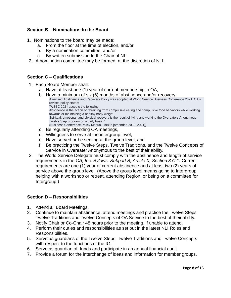## **Section B – Nominations to the Board**

- 1. Nominations to the board may be made:
	- a. From the floor at the time of election, and/or
	- b. By a nomination committee, and/or
	- c. By written submission to the Chair of NLI.
- 2. A nomination committee may be formed, at the discretion of NLI.

## **Section C – Qualifications**

- 1. Each Board Member shall:
	- a. Have at least one (1) year of current membership in OA,
	- b. Have a minimum of six (6) months of abstinence and/or recovery: A revised Abstinence and Recovery Policy was adopted at World Service Business Conference 2021. OA's revised policy states: "WSBC 2021 accepts the following: Abstinence is the action of refraining from compulsive eating and compulsive food behaviors while working towards or maintaining a healthy body weight. Spiritual, emotional, and physical recovery is the result of living and working the Overeaters Anonymous Twelve Step program on a daily basis." (Business Conference Policy Manual, 1988b [amended 2019, 2021]) c. Be regularly attending OA meetings,
	- d. Willingness to serve at the intergroup level,
	-
	- e. Have served or be serving at the group level, and
	- f. Be practicing the Twelve Steps, Twelve Traditions, and the Twelve Concepts of Service in Overeater Anonymous to the best of their ability.
- 2. The World Service Delegate must comply with the abstinence and length of service requirements in the *OA, Inc. Bylaws, Subpart B, Article X, Section 3 C 1.* Current requirements are one (1) year of current abstinence and at least two (2) years of service above the group level. (Above the group level means going to Intergroup, helping with a workshop or retreat, attending Region, or being on a committee for Intergroup.)

## **Section D – Responsibilities**

- 1. Attend all Board Meetings.
- 2. Continue to maintain abstinence, attend meetings and practice the Twelve Steps, Twelve Traditions and Twelve Concepts of OA Service to the best of their ability.
- 3. Notify Chair or Co-Chair 48 hours prior to the meeting, if unable to attend.
- 4. Perform their duties and responsibilities as set out in the latest NLI Roles and Responsibilities.
- 5. Serve as guardians of the Twelve Steps, Twelve Traditions and Twelve Concepts with respect to the functions of the IG.
- 6. Serve as guardian of funds and participate in an annual financial audit.
- 7. Provide a forum for the interchange of ideas and information for member groups.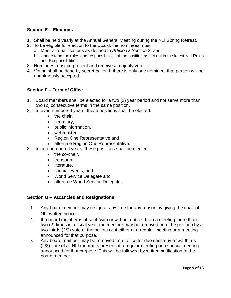# **Section E – Elections**

- 1. Shall be held yearly at the Annual General Meeting during the NLI Spring Retreat.
- 2. To be eligible for election to the Board, the nominees must:
	- a. Meet all qualifications as defined in *Article IV Section 3*, and
	- b. Understand the roles and responsibilities of the position as set out in the latest NLI Roles and Responsibilities.
- 3. Nominees must be present and receive a majority vote.
- 4. Voting shall be done by secret ballot. If there is only one nominee, that person will be unanimously accepted.

# **Section F – Term of Office**

- 1. Board members shall be elected for a two (2) year period and not serve more than two (2) consecutive terms in the same position.
- 2. In even numbered years, these positions shall be elected:
	- the chair,
	- secretary,
	- public information,
	- webmaster,
	- Region One Representative and
	- alternate Region One Representative.
- 3. In odd numbered years, these positions shall be elected:
	- the co-chair.
	- treasurer,
	- literature,
	- special events, and
	- World Service Delegate and
	- alternate World Service Delegate.

## **Section G – Vacancies and Resignations**

- 1. Any board member may resign at any time for any reason by giving the chair of NLI written notice.
- 2. If a board member is absent (with or without notice) from a meeting more than two (2) times in a fiscal year, the member may be removed from the position by a two-thirds (2/3) vote of the ballots cast either at a regular meeting or a meeting announced for that purpose.
- 3. Any board member may be removed from office for due cause by a two-thirds (2/3) vote of all NLI members present at a regular meeting or a special meeting announced for that purpose. This will be followed by written notification to the board member.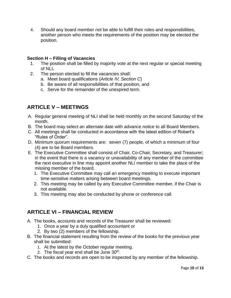4. Should any board member not be able to fulfill their roles and responsibilities, another person who meets the requirements of the position may be elected the position.

## **Section H – Filling of Vacancies**

- 1. The position shall be filled by majority vote at the next regular or special meeting of NLI**.**
- 2. The person elected to fill the vacancies shall:
	- a. Meet board qualifications (*Article IV, Section C*)
	- b. Be aware of all responsibilities of that position, and
	- c. Serve for the remainder of the unexpired term.

# **ARTICLE V – MEETINGS**

- A. Regular general meeting of NLI shall be held monthly on the second Saturday of the month.
- B. The board may select an alternate date with advance notice to all Board Members.
- C. All meetings shall be conducted in accordance with the latest edition of Robert's "Rules of Order".
- D. Minimum quorum requirements are: seven (7) people, of which a minimum of four (4) are to be Board members.
- E. The Executive Committee shall consist of Chair, Co-Chair, Secretary, and Treasurer; in the event that there is a vacancy or unavailability of any member of the committee the next executive in line may appoint another NLI member to take the place of the missing member of the board.
	- 1. The Executive Committee may call an emergency meeting to execute important time-sensitive matters arising between board meetings.
	- 2. This meeting may be called by any Executive Committee member, if the Chair is not available.
	- 3. This meeting may also be conducted by phone or conference call.

# **ARTICLE VI – FINANCIAL REVIEW**

- A. The books, accounts and records of the Treasurer shall be reviewed:
	- 1. Once a year by a duly qualified accountant or
	- 2. By two (2) members of the fellowship.
- B. The financial statement resulting from the review of the books for the previous year shall be submitted:
	- 1. At the latest by the October regular meeting.
	- 2. The fiscal year end shall be June 30<sup>th</sup>.
- C. The books and records are open to be inspected by any member of the fellowship.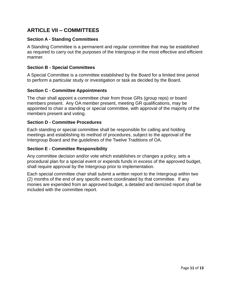# **ARTICLE VII – COMMITTEES**

## **Section A - Standing Committees**

A Standing Committee is a permanent and regular committee that may be established as required to carry out the purposes of the Intergroup in the most effective and efficient manner.

#### **Section B - Special Committees**

A Special Committee is a committee established by the Board for a limited time period to perform a particular study or investigation or task as decided by the Board.

## **Section C - Committee Appointments**

The chair shall appoint a committee chair from those GRs (group reps) or board members present. Any OA member present, meeting GR qualifications, may be appointed to chair a standing or special committee, with approval of the majority of the members present and voting.

#### **Section D - Committee Procedures**

Each standing or special committee shall be responsible for calling and holding meetings and establishing its method of procedures, subject to the approval of the Intergroup Board and the guidelines of the Twelve Traditions of OA.

## **Section E - Committee Responsibility**

Any committee decision and/or vote which establishes or changes a policy, sets a procedural plan for a special event or expends funds in excess of the approved budget, shall require approval by the Intergroup prior to implementation.

Each special committee chair shall submit a written report to the Intergroup within two (2) months of the end of any specific event coordinated by that committee. If any monies are expended from an approved budget, a detailed and itemized report shall be included with the committee report.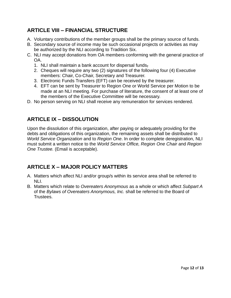# **ARTICLE VIII – FINANCIAL STRUCTURE**

- A. Voluntary contributions of the member groups shall be the primary source of funds.
- B. Secondary source of income may be such occasional projects or activities as may be authorized by the NLI according to Tradition Six.
- C. NLI may accept donations from OA members conforming with the general practice of OA.
	- 1. NLI shall maintain a bank account for dispersal funds,
	- 2. Cheques will require any two (2) signatures of the following four (4) Executive members: Chair, Co-Chair, Secretary and Treasurer.
	- 3. Electronic Funds Transfers (EFT) can be received by the treasurer.
	- 4. EFT can be sent by Treasurer to Region One or World Service per Motion to be made at an NLI meeting. For purchase of literature, the consent of at least one of the members of the Executive Committee will be necessary.
- D. No person serving on NLI shall receive any remuneration for services rendered.

# **ARTICLE IX – DISSOLUTION**

Upon the dissolution of this organization, after paying or adequately providing for the debts and obligations of this organization, the remaining assets shall be distributed to *World Service Organization* and to *Region One*. In order to complete deregistration, NLI must submit a written notice to the *World Service Office, Region One Chair* and *Region One Trustee.* (Email is acceptable).

# **ARTICLE X – MAJOR POLICY MATTERS**

- A. Matters which affect NLI and/or group/s within its service area shall be referred to NLI.
- B. Matters which relate to *Overeaters Anonymous* as a whole or which affect *Subpart A* of the *Bylaws of Overeaters Anonymous, Inc.* shall be referred to the Board of Trustees.